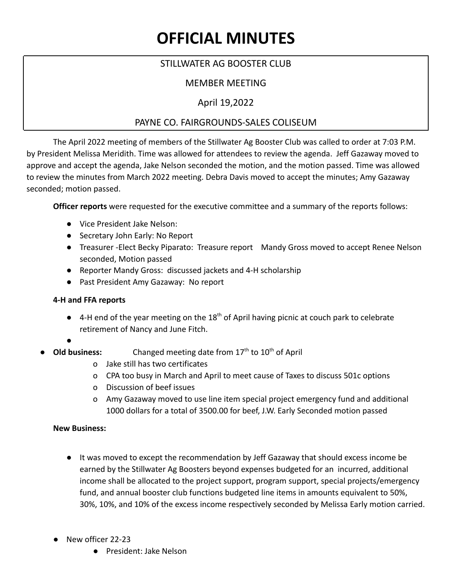# **OFFICIAL MINUTES**

# STILLWATER AG BOOSTER CLUB

# MEMBER MEETING

## April 19,2022

## PAYNE CO. FAIRGROUNDS-SALES COLISEUM

The April 2022 meeting of members of the Stillwater Ag Booster Club was called to order at 7:03 P.M. by President Melissa Meridith. Time was allowed for attendees to review the agenda. Jeff Gazaway moved to approve and accept the agenda, Jake Nelson seconded the motion, and the motion passed. Time was allowed to review the minutes from March 2022 meeting. Debra Davis moved to accept the minutes; Amy Gazaway seconded; motion passed.

**Officer reports** were requested for the executive committee and a summary of the reports follows:

- Vice President Jake Nelson:
- Secretary John Early: No Report
- Treasurer -Elect Becky Piparato: Treasure report Mandy Gross moved to accept Renee Nelson seconded, Motion passed
- Reporter Mandy Gross: discussed jackets and 4-H scholarship
- Past President Amy Gazaway: No report

#### **4-H and FFA reports**

- 4-H end of the year meeting on the 18<sup>th</sup> of April having picnic at couch park to celebrate retirement of Nancy and June Fitch.
- **●**
- Old business: Changed meeting date from 17<sup>th</sup> to 10<sup>th</sup> of April
	- o Jake still has two certificates
	- o CPA too busy in March and April to meet cause of Taxes to discuss 501c options
	- o Discussion of beef issues
	- o Amy Gazaway moved to use line item special project emergency fund and additional 1000 dollars for a total of 3500.00 for beef, J.W. Early Seconded motion passed

#### **New Business:**

- **●** It was moved to except the recommendation by Jeff Gazaway that should excess income be earned by the Stillwater Ag Boosters beyond expenses budgeted for an incurred, additional income shall be allocated to the project support, program support, special projects/emergency fund, and annual booster club functions budgeted line items in amounts equivalent to 50%, 30%, 10%, and 10% of the excess income respectively seconded by Melissa Early motion carried.
- **●** New officer 22-23
	- **●** President: Jake Nelson